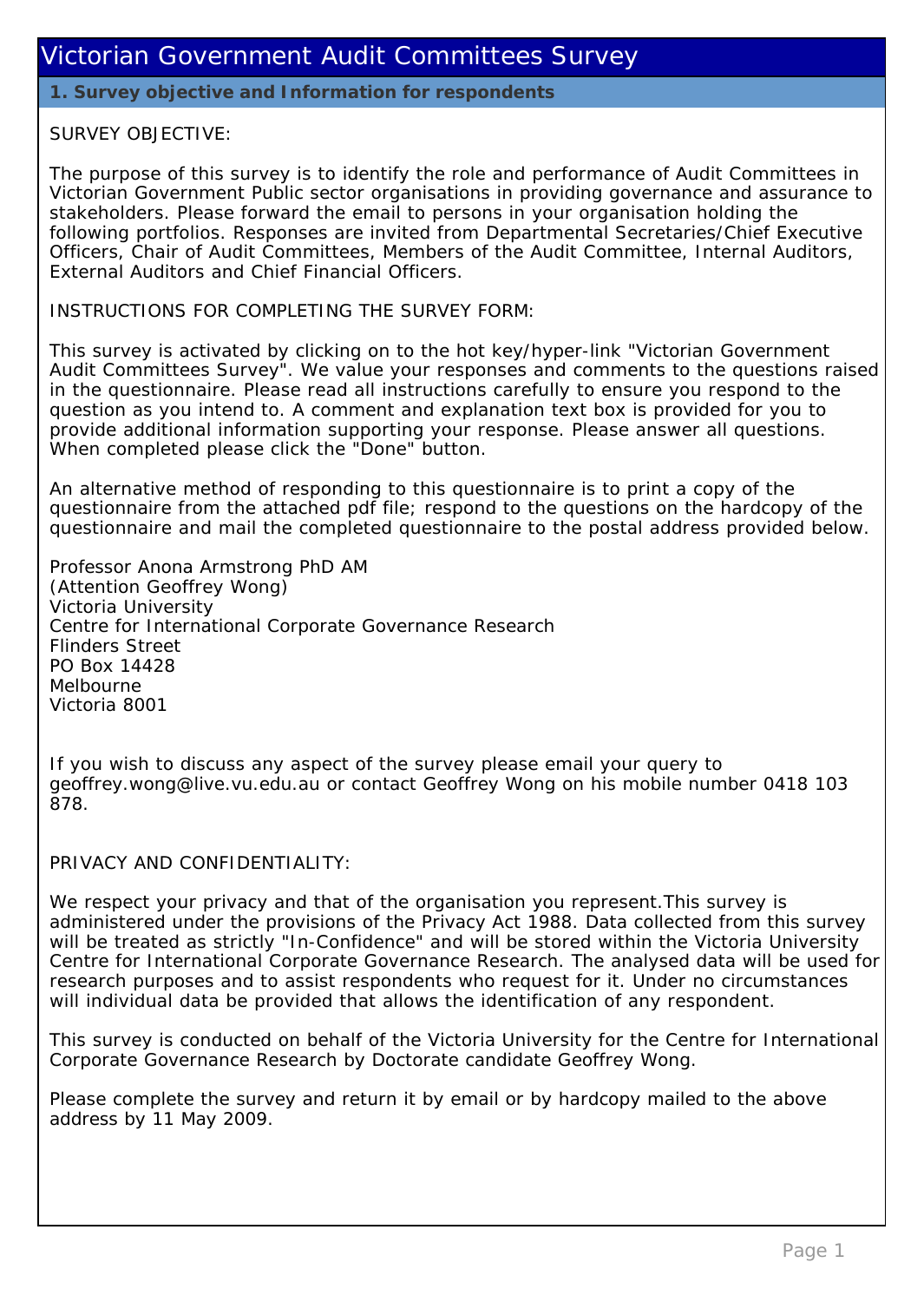**1. Survey objective and Information for respondents**

#### SURVEY OBJECTIVE:

The purpose of this survey is to identify the role and performance of Audit Committees in Victorian Government Public sector organisations in providing governance and assurance to stakeholders. Please forward the email to persons in your organisation holding the following portfolios. Responses are invited from Departmental Secretaries/Chief Executive Officers, Chair of Audit Committees, Members of the Audit Committee, Internal Auditors, External Auditors and Chief Financial Officers.

INSTRUCTIONS FOR COMPLETING THE SURVEY FORM:

This survey is activated by clicking on to the hot key/hyper-link "Victorian Government Audit Committees Survey". We value your responses and comments to the questions raised in the questionnaire. Please read all instructions carefully to ensure you respond to the question as you intend to. A comment and explanation text box is provided for you to provide additional information supporting your response. Please answer all questions. When completed please click the "Done" button.

An alternative method of responding to this questionnaire is to print a copy of the questionnaire from the attached pdf file; respond to the questions on the hardcopy of the questionnaire and mail the completed questionnaire to the postal address provided below.

Professor Anona Armstrong PhD AM (Attention Geoffrey Wong) Victoria University Centre for International Corporate Governance Research Flinders Street PO Box 14428 Melbourne Victoria 8001

If you wish to discuss any aspect of the survey please email your query to geoffrey.wong@live.vu.edu.au or contact Geoffrey Wong on his mobile number 0418 103 878.

#### PRIVACY AND CONFIDENTIALITY:

We respect your privacy and that of the organisation you represent. This survey is administered under the provisions of the Privacy Act 1988. Data collected from this survey will be treated as strictly "In-Confidence" and will be stored within the Victoria University Centre for International Corporate Governance Research. The analysed data will be used for research purposes and to assist respondents who request for it. Under no circumstances will individual data be provided that allows the identification of any respondent.

This survey is conducted on behalf of the Victoria University for the Centre for International Corporate Governance Research by Doctorate candidate Geoffrey Wong.

Please complete the survey and return it by email or by hardcopy mailed to the above address by 11 May 2009.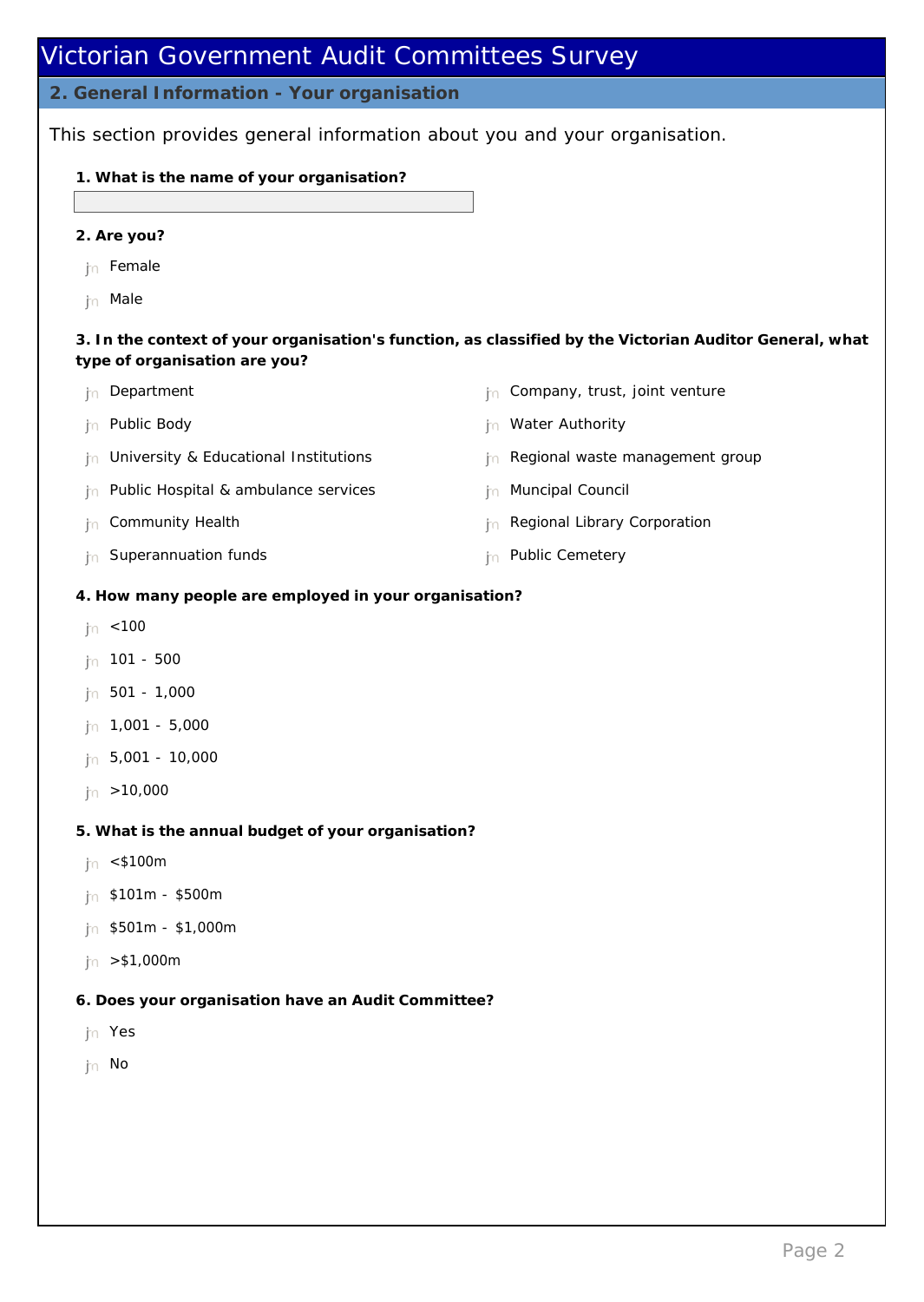**2. General Information - Your organisation**

This section provides general information about you and your organisation.

- **1. What is the name of your organisation?**
- **2. Are you?**
- tn Female
- tn Male

**3. In the context of your organisation's function, as classified by the Victorian Auditor General, what type of organisation are you?**

- tn Department
- tn Public Body
- $n<sub>n</sub>$  University & Educational Institutions
- $n<sub>n</sub>$  Public Hospital & ambulance services
- tn Community Health
- $n$  Superannuation funds
- $n<sub>n</sub>$  Company, trust, joint venture
- the Water Authority
- n Regional waste management group
- **hammla Muncipal Council**
- h Regional Library Corporation
- tn Public Cemetery
- **4. How many people are employed in your organisation?**
- $ln \leq 100$
- nmlkj 101 500
- $n = 501 1,000$
- $n = 1,001 5,000$
- $n = 5,001 10,000$
- $|n| > 10,000$
- **5. What is the annual budget of your organisation?**
- $\ln$  <\$100m
- $ln$  \$101m \$500m
- $n = $501m $1,000m$
- $ln > $1,000m$
- **6. Does your organisation have an Audit Committee?**
- nmlkj Yes
- th No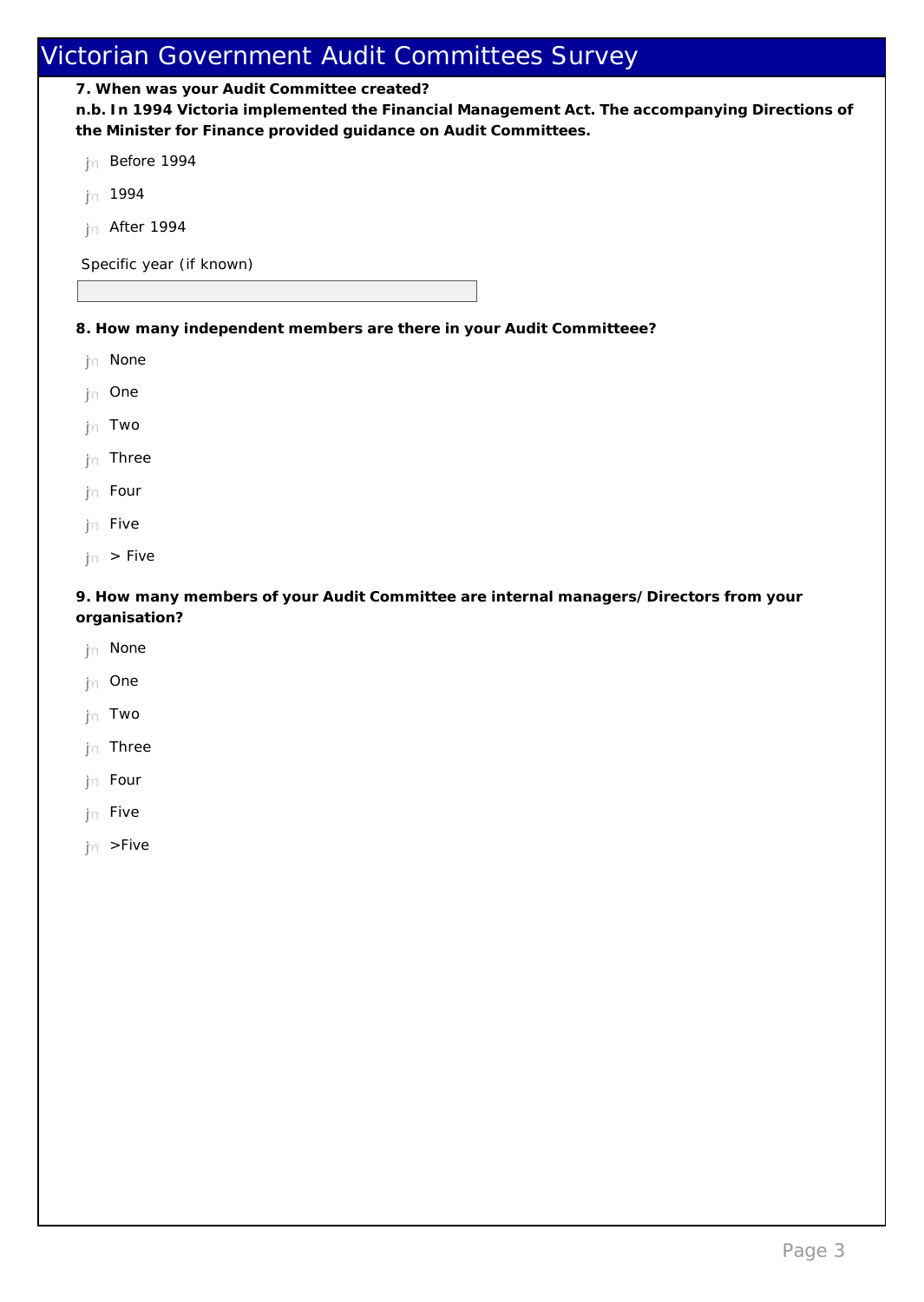**7. When was your Audit Committee created?**

**n.b. In 1994 Victoria implemented the Financial Management Act. The accompanying Directions of the Minister for Finance provided guidance on Audit Committees.**

jn Before 1994

- $ln$  1994
- $n$  After 1994

Specific year (if known)

**8. How many independent members are there in your Audit Committeee?** 

- th None
- th One
- nmlkj Two
- $\ln$  Three
- $\mathfrak{f}_n$  Four
- hn Five
- $\ln$  > Five

**9. How many members of your Audit Committee are internal managers/Directors from your organisation?** 

- th None
- th One
- nmlkj Two
- $ln$  Three
- th Four
- $jn$  Five
- $\ln$  >Five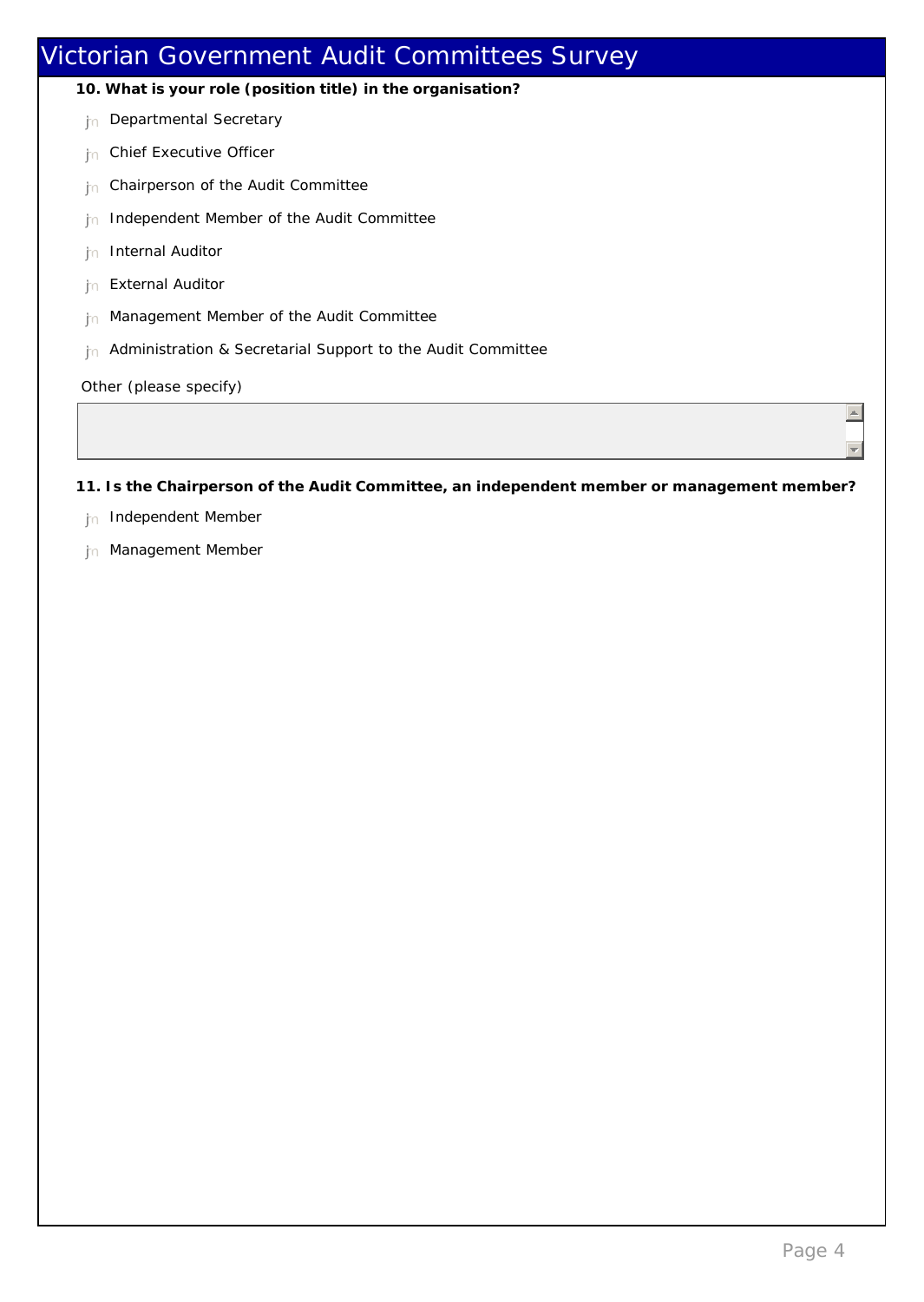## Victorian Government Audit Committees Survey **10. What is your role (position title) in the organisation?** tn Departmental Secretary <sub>In</sub> Chief Executive Officer  $n<sub>n</sub>$  Chairperson of the Audit Committee  $n<sub>0</sub>$  Independent Member of the Audit Committee **hn** Internal Auditor hn External Auditor th Management Member of the Audit Committee In Administration & Secretarial Support to the Audit Committee Other (please specify)  $\vert \equiv \vert$  $\left| \frac{1}{2} \right|$

**11. Is the Chairperson of the Audit Committee, an independent member or management member?**

- <sub>in</sub> Independent Member
- tn Management Member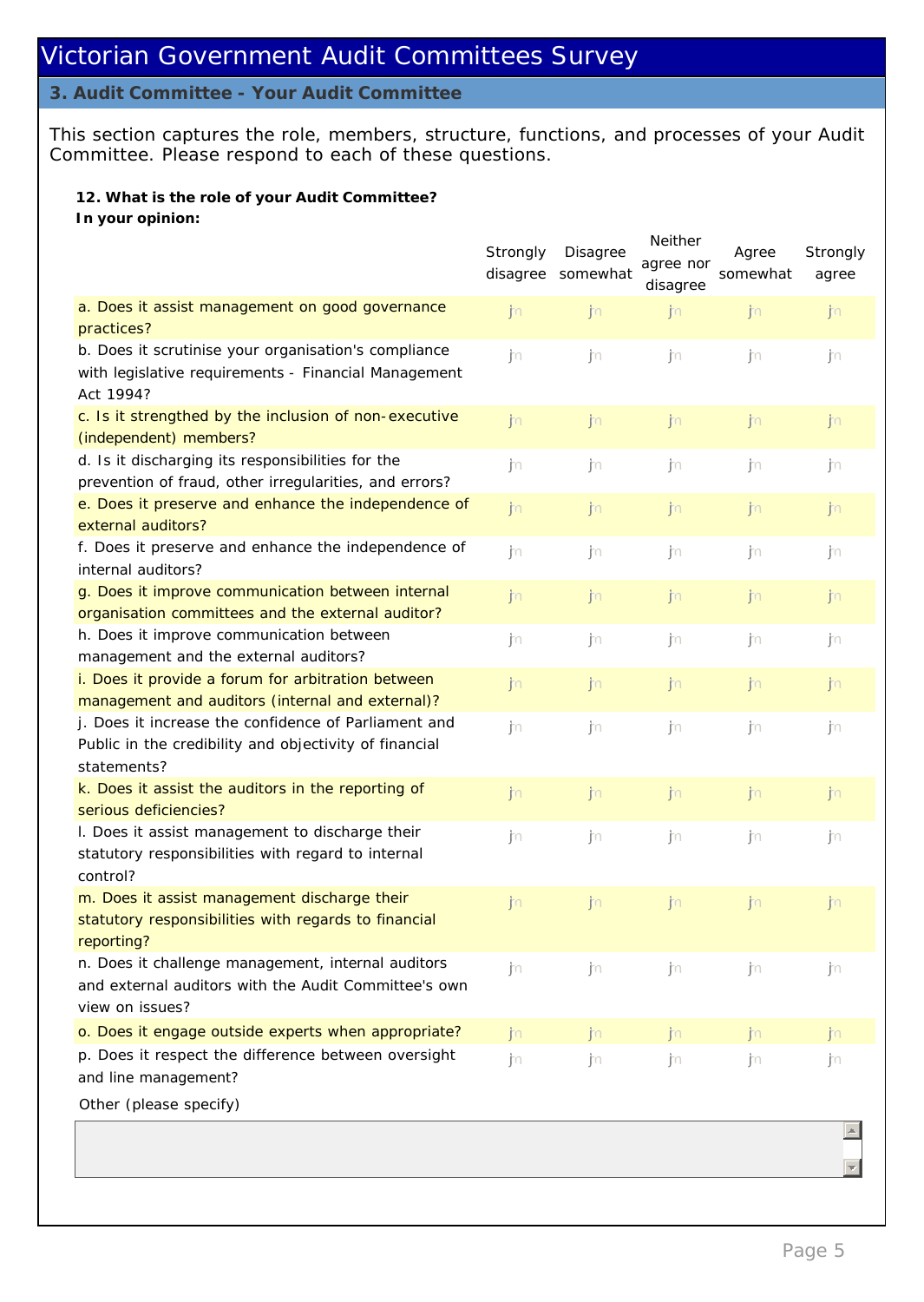#### **3. Audit Committee - Your Audit Committee**

This section captures the role, members, structure, functions, and processes of your Audit Committee. Please respond to each of these questions.

**12. What is the role of your Audit Committee? In your opinion:**

|                                                                                                                               | Strongly | Disagree<br>disagree somewhat | Neither<br>agree nor<br>disagree | Agree<br>somewhat | Strongly<br>agree |
|-------------------------------------------------------------------------------------------------------------------------------|----------|-------------------------------|----------------------------------|-------------------|-------------------|
| a. Does it assist management on good governance<br>practices?                                                                 | jn       | jn                            | jn                               | jn                | jn                |
| b. Does it scrutinise your organisation's compliance<br>with legislative requirements - Financial Management<br>Act 1994?     | jn       | jn                            | jn.                              | jn                | j٥                |
| c. Is it strengthed by the inclusion of non-executive<br>(independent) members?                                               | jn       | jn                            | jn                               | jn                | jn                |
| d. Is it discharging its responsibilities for the<br>prevention of fraud, other irregularities, and errors?                   | ∫n       | ∫n                            | ∫∩                               | j∩                | jn                |
| e. Does it preserve and enhance the independence of<br>external auditors?                                                     | jn       | jn                            | jn                               | jn                | jn                |
| f. Does it preserve and enhance the independence of<br>internal auditors?                                                     | jn       | jn                            | ∫n                               | j∩                | j٥                |
| g. Does it improve communication between internal<br>organisation committees and the external auditor?                        | ∫∖n      | jn                            | jn                               | jn                | jn.               |
| h. Does it improve communication between<br>management and the external auditors?                                             | jn       | jn                            | ∫n                               | j∩                | j٥                |
| i. Does it provide a forum for arbitration between<br>management and auditors (internal and external)?                        | jn       | jn                            | jn                               | jn                | jn                |
| j. Does it increase the confidence of Parliament and<br>Public in the credibility and objectivity of financial<br>statements? | jn       | jn                            | ∫n                               | j∩                | j٥                |
| k. Does it assist the auditors in the reporting of<br>serious deficiencies?                                                   | jn       | jn                            | jn                               | jn                | jn                |
| I. Does it assist management to discharge their<br>statutory responsibilities with regard to internal<br>control?             | ∫n       | jn                            | ∫∩                               | j∩                | j٥                |
| m. Does it assist management discharge their<br>statutory responsibilities with regards to financial<br>reporting?            | jn       | jn                            | <b>j</b> n                       | jn                | jn                |
| n. Does it challenge management, internal auditors<br>and external auditors with the Audit Committee's own<br>view on issues? | . jn     | ∫n                            | jn.                              | jυ                | j∩                |
| o. Does it engage outside experts when appropriate?                                                                           | jn       | jm.                           | n                                | jn.               | n                 |
| p. Does it respect the difference between oversight<br>and line management?                                                   | ∫∩       | jn                            | ∫∩                               | j∩                | j∩                |
| Other (please specify)                                                                                                        |          |                               |                                  |                   |                   |

 $\vert \triangleq$ 

 $\overline{\mathcal{A}}$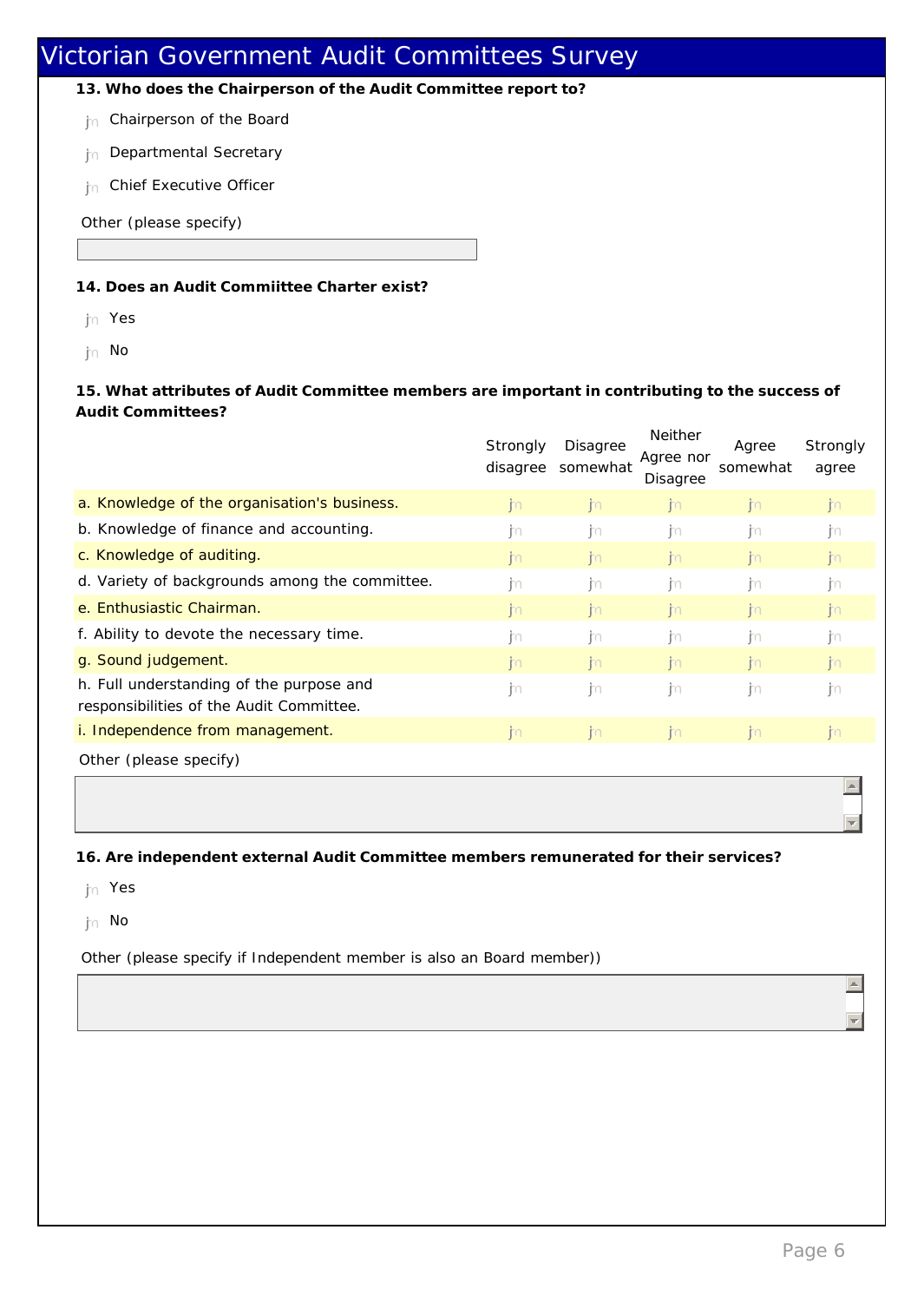**13. Who does the Chairperson of the Audit Committee report to?**

the Chairperson of the Board

- <sub>In</sub> Departmental Secretary
- **h** Chief Executive Officer

Other (please specify)

#### **14. Does an Audit Commiittee Charter exist?**

- nmlkj Yes
- the No

**15. What attributes of Audit Committee members are important in contributing to the success of Audit Committees?**

|                                                                                      | Strongly<br>disagree | Disagree<br>somewhat | <b>Neither</b><br>Agree nor<br>Disagree | Agree<br>somewhat | Strongly<br>agree |
|--------------------------------------------------------------------------------------|----------------------|----------------------|-----------------------------------------|-------------------|-------------------|
| a. Knowledge of the organisation's business.                                         | n                    | n                    | n                                       | n                 | jn.               |
| b. Knowledge of finance and accounting.                                              | m                    | in                   | m                                       | jЮ                | m                 |
| c. Knowledge of auditing.                                                            | <b>i</b> n           | n                    | n                                       | n                 | $\mathsf{m}$      |
| d. Variety of backgrounds among the committee.                                       | m                    | m                    | ijn                                     | . jn              | m                 |
| e. Enthusiastic Chairman.                                                            | $ 30\rangle$         | n                    | n                                       | $\mathsf{m}$      | $\mathsf{m}$      |
| f. Ability to devote the necessary time.                                             | m                    | in.                  | -ito                                    | in                | m                 |
| g. Sound judgement.                                                                  | n                    | n                    | n                                       | n                 | $\mathsf{m}$      |
| h. Full understanding of the purpose and<br>responsibilities of the Audit Committee. | jm                   | ∣m                   | ijn                                     | jЮ                | m                 |
| i. Independence from management.                                                     | $\mathsf{m}$         | n                    | n                                       | j.                | $\mathsf{m}$      |
| Other (please specify)                                                               |                      |                      |                                         |                   |                   |

**16. Are independent external Audit Committee members remunerated for their services?**

jn Yes

jn No

Other (please specify if Independent member is also an Board member))

 $\leftarrow$ 

 $\Box$ 

 $\blacktriangle$ 

 $\overline{\mathcal{F}}$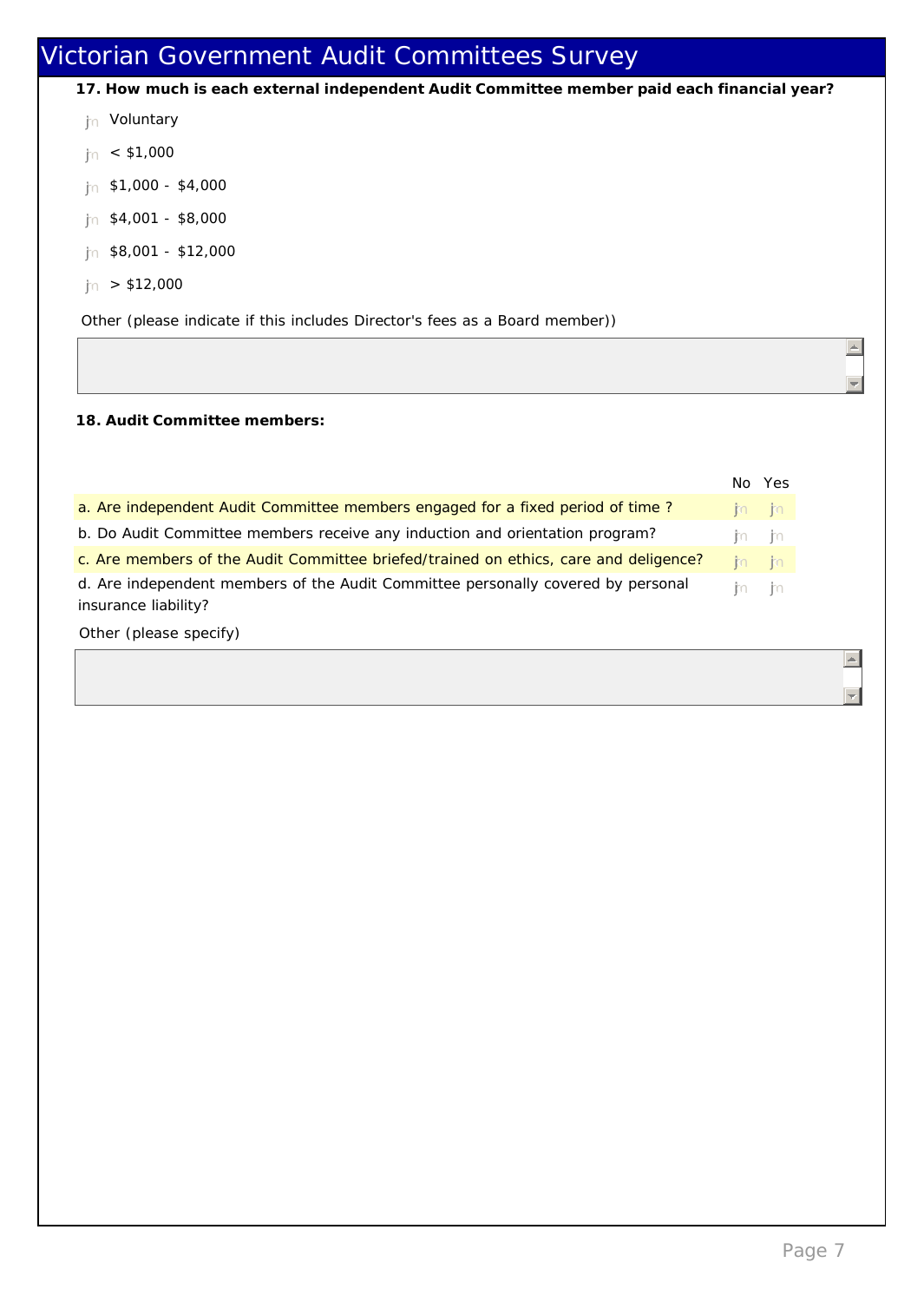- **17. How much is each external independent Audit Committee member paid each financial year?**
- jn Voluntary
- $jn < $1,000$
- $n$  \$1,000 \$4,000
- $ln$  \$4,001 \$8,000
- $n$  \$8,001 \$12,000
- $|n| > $12,000$

Other (please indicate if this includes Director's fees as a Board member))

**18. Audit Committee members:**

|                                                                                                          |         | No Yes  |
|----------------------------------------------------------------------------------------------------------|---------|---------|
| a. Are independent Audit Committee members engaged for a fixed period of time?                           |         | ita ita |
| b. Do Audit Committee members receive any induction and orientation program?                             | ita ita |         |
| c. Are members of the Audit Committee briefed/trained on ethics, care and deligence?                     |         | ita ita |
| d. Are independent members of the Audit Committee personally covered by personal<br>insurance liability? | ith ith |         |

Other (please specify)

 $\equiv$ 

 $\Box$ 

 $\vert \triangle \vert$ 

 $\overline{\phantom{m}}$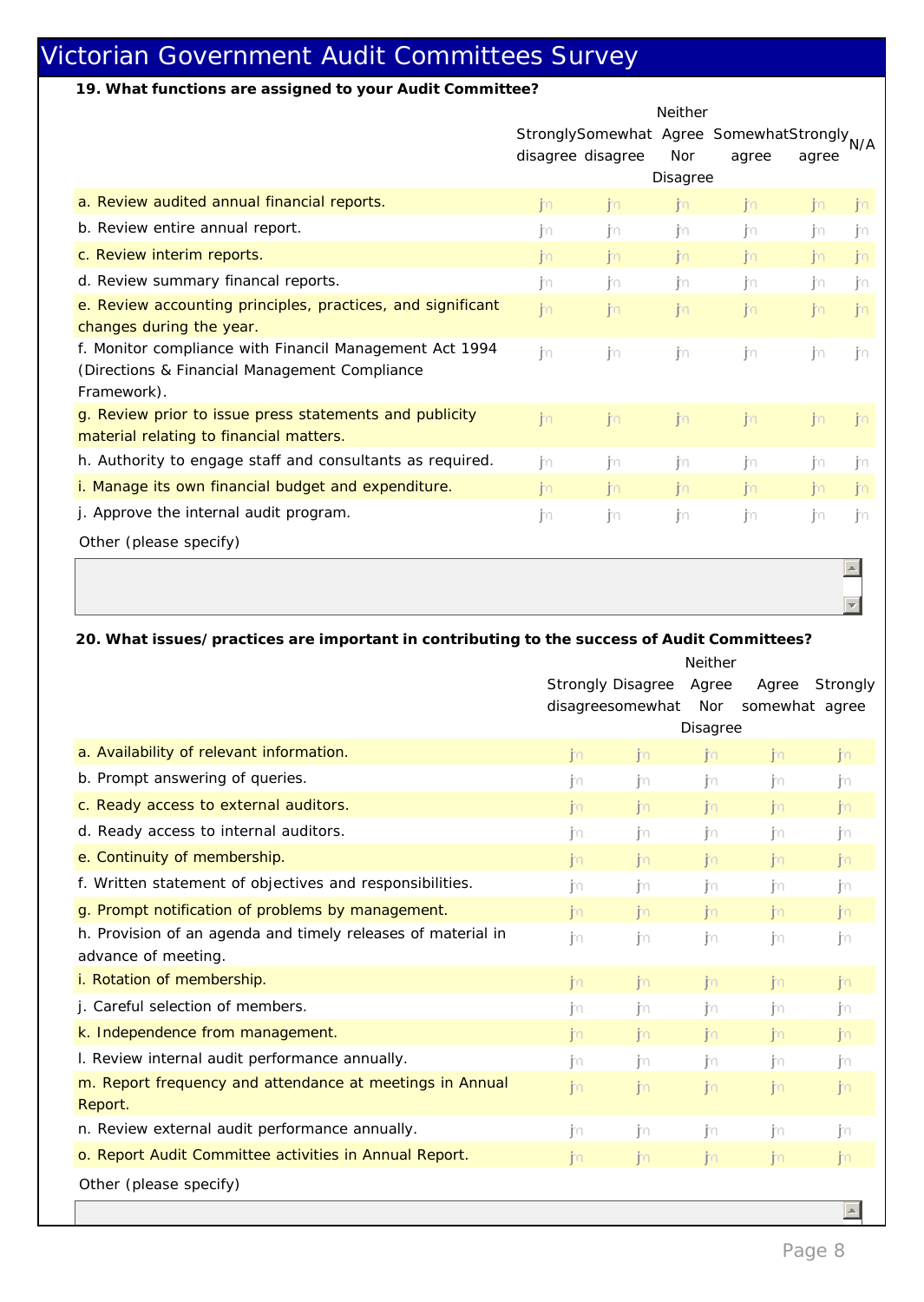**19. What functions are assigned to your Audit Committee?**

|                                                             | Neither                                                |              |              |       |       |               |  |  |
|-------------------------------------------------------------|--------------------------------------------------------|--------------|--------------|-------|-------|---------------|--|--|
|                                                             | StronglySomewhat Agree SomewhatStrongly <sub>N/A</sub> |              |              |       |       |               |  |  |
|                                                             | disagree disagree                                      |              | Nor          | agree | agree |               |  |  |
|                                                             |                                                        |              | Disagree     |       |       |               |  |  |
| a. Review audited annual financial reports.                 | $\mathsf{m}$                                           | jn           | $\mathsf{m}$ | n     | im.   | $\mathsf{m}$  |  |  |
| b. Review entire annual report.                             | m                                                      | -Im          | in.          | -Im   | m     | ∣m            |  |  |
| c. Review interim reports.                                  | j.                                                     | $\mathsf{m}$ | n            | n     | n     | jn.           |  |  |
| d. Review summary financal reports.                         | in.                                                    | ijn          | jυ           | ∫n    | m     | ∣m            |  |  |
| e. Review accounting principles, practices, and significant | n                                                      | n            | n            | jm.   | jm.   | n             |  |  |
| changes during the year.                                    |                                                        |              |              |       |       |               |  |  |
| f. Monitor compliance with Financil Management Act 1994     | m                                                      | jn           | jn           | jn.   | jn    | m.            |  |  |
| (Directions & Financial Management Compliance               |                                                        |              |              |       |       |               |  |  |
| Framework).                                                 |                                                        |              |              |       |       |               |  |  |
| g. Review prior to issue press statements and publicity     | n                                                      | n            | $\mathsf{m}$ | n     | n     | $\mathsf{kn}$ |  |  |
| material relating to financial matters.                     |                                                        |              |              |       |       |               |  |  |
| h. Authority to engage staff and consultants as required.   | I'n                                                    | j٥           | jυ           | jυ    | m     | ∣m            |  |  |
| i. Manage its own financial budget and expenditure.         | $\mathsf{m}$                                           | $\mathsf{m}$ | n            | n     | n     | n             |  |  |
| j. Approve the internal audit program.                      | jn.                                                    | $\mathsf{m}$ | jn           | jn.   | m     | in.           |  |  |
| Other (please specify)                                      |                                                        |              |              |       |       |               |  |  |

**20. What issues/practices are important in contributing to the success of Audit Committees?** Neither

|                                                                                     | <b>NEINIEI</b>           |                  |              |                         |                            |
|-------------------------------------------------------------------------------------|--------------------------|------------------|--------------|-------------------------|----------------------------|
|                                                                                     | <b>Strongly Disagree</b> | disagreesomewhat | Agree<br>Nor | Agree<br>somewhat agree | Strongly                   |
|                                                                                     |                          |                  | Disagree     |                         |                            |
| a. Availability of relevant information.                                            | n                        | n                | n            | n                       | jn                         |
| b. Prompt answering of queries.                                                     | in.                      | jυ               | ₫n           | -In                     | jn                         |
| c. Ready access to external auditors.                                               | $\mathsf{m}$             | n                | n            | $\mathsf{m}$            | jn                         |
| d. Ready access to internal auditors.                                               | in.                      | $\mathsf{m}$     | jn.          | in.                     | jn                         |
| e. Continuity of membership.                                                        | jm.                      | $\mathsf{m}$     | n            | n                       | jn                         |
| f. Written statement of objectives and responsibilities.                            | $\mathsf{m}$             | jn               | jn           | jn                      | jn                         |
| g. Prompt notification of problems by management.                                   | $\mathsf{m}$             | n                | n            | $\mathsf{m}$            | jn                         |
| h. Provision of an agenda and timely releases of material in<br>advance of meeting. | jn.                      | jn               | j'n          | jn.                     | jn                         |
| i. Rotation of membership.                                                          | kn.                      | $\mathsf{m}$     | $\mathsf{m}$ | $\mathsf{m}$            | jn                         |
| j. Careful selection of members.                                                    | $\mathsf{m}$             | -Im              | in.          | in.                     | jn                         |
| k. Independence from management.                                                    | $\mathsf{m}$             | n                | n            | n                       | jn                         |
| I. Review internal audit performance annually.                                      | $\mathsf{m}$             | $\mathsf{m}$     | $\mathsf{m}$ | -jn                     | ∣m                         |
| m. Report frequency and attendance at meetings in Annual<br>Report.                 | n                        | jn               | n            | n                       | jn                         |
| n. Review external audit performance annually.                                      | $\mathsf{m}$             | jn               | -Im          | . jn                    | jn                         |
| o. Report Audit Committee activities in Annual Report.                              | $\mathsf{m}$             | n                | n            | n                       | j'n                        |
| Other (please specify)                                                              |                          |                  |              |                         |                            |
|                                                                                     |                          |                  |              |                         | $\mathcal{A}_\mathrm{c}$ . |

 $\left| \right|$ 

 $\Box$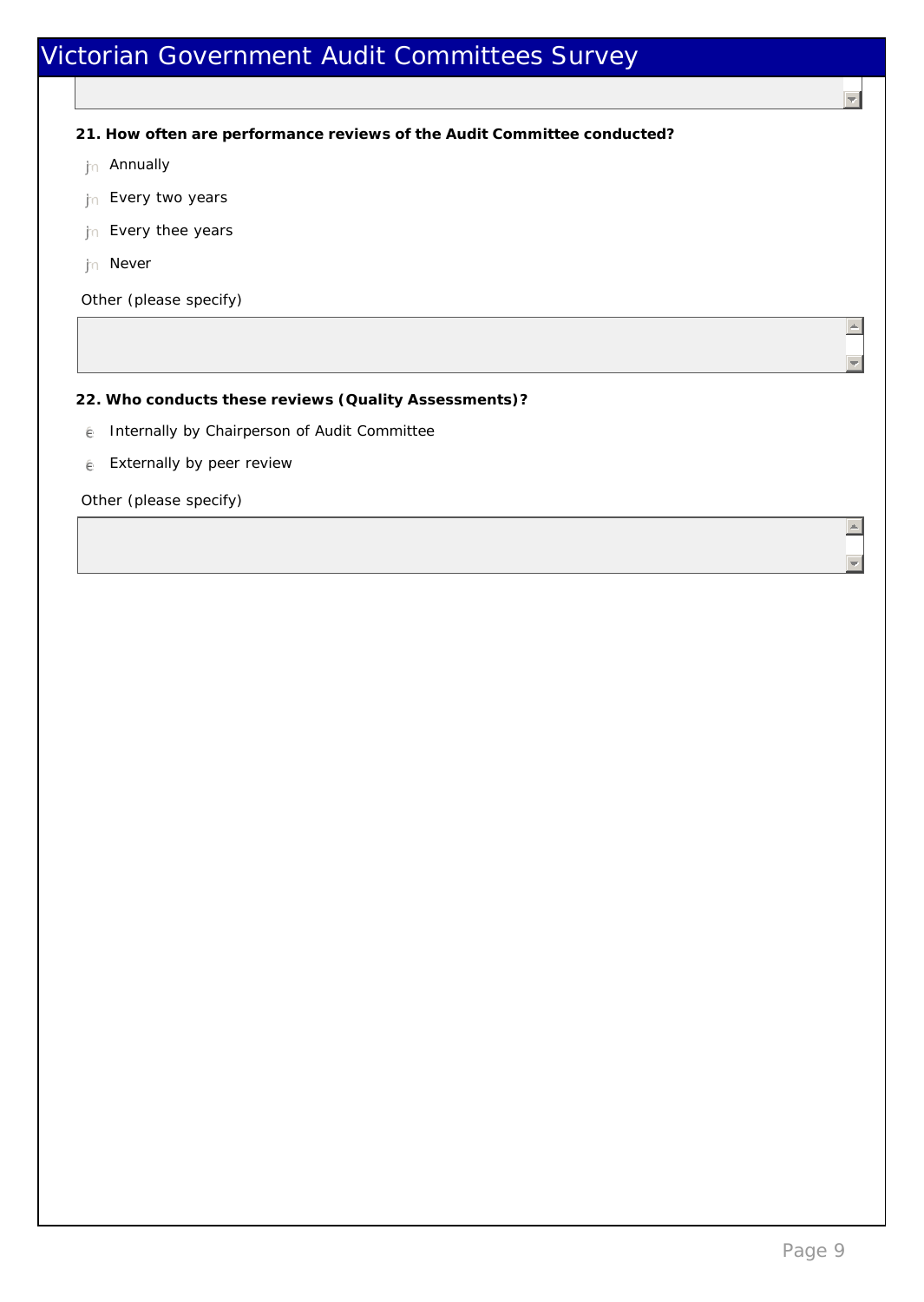**21. How often are performance reviews of the Audit Committee conducted?**

- tn Annually
- tn Every two years
- the Every thee years
- th Never

Other (please specify)

**22. Who conducts these reviews (Quality Assessments)?**

- $e$  Internally by Chairperson of Audit Committee
- $e$  Externally by peer review

Other (please specify)

 $\overline{\mathcal{L}}$ 

 $\triangle$ 

 $\Box$ 

 $\vert \equiv \vert$ 

 $\overline{\mathbb{E}}$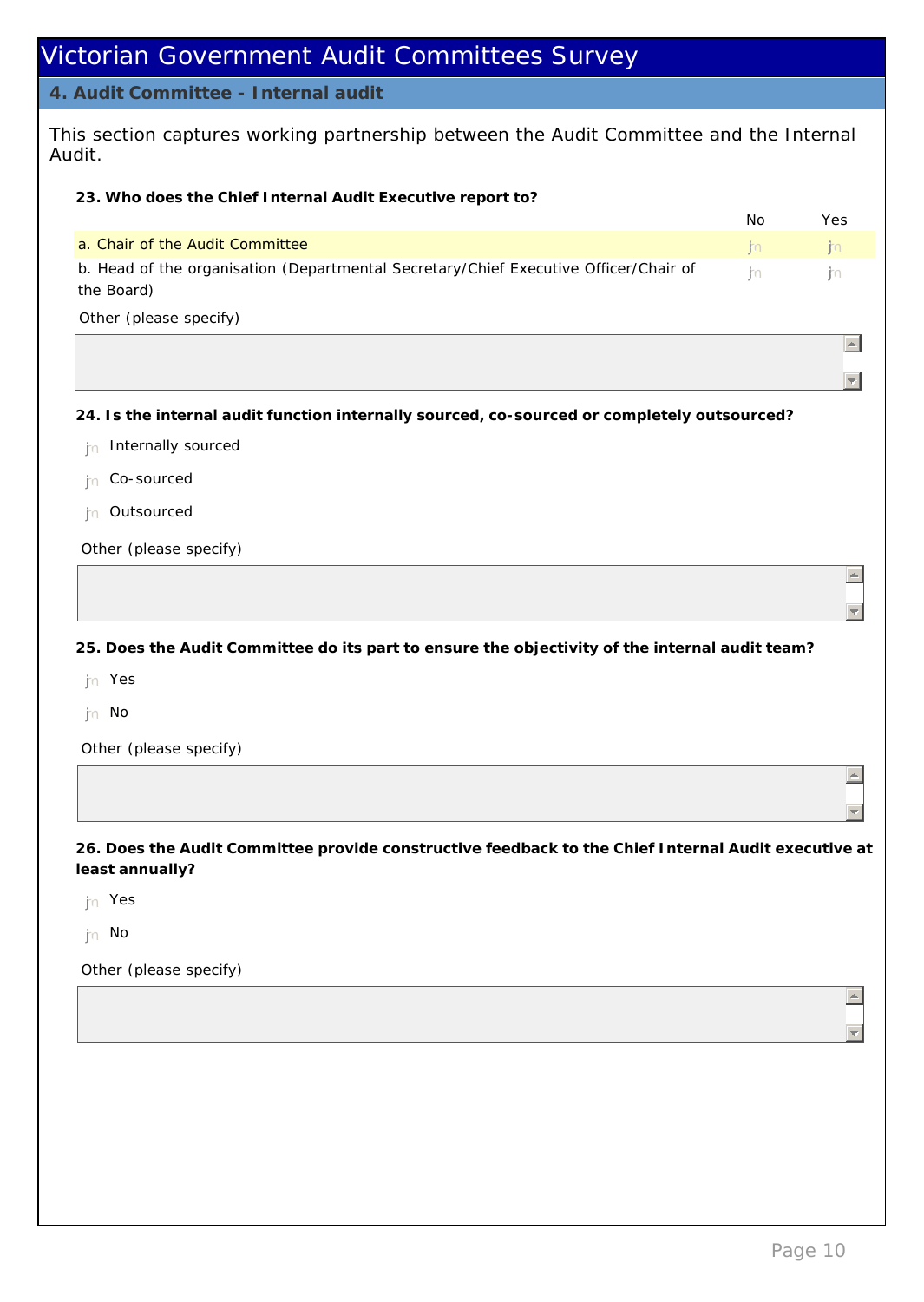#### **4. Audit Committee - Internal audit**

This section captures working partnership between the Audit Committee and the Internal Audit.

**23. Who does the Chief Internal Audit Executive report to?**

|                                                                                      | Nο      | Yes                |
|--------------------------------------------------------------------------------------|---------|--------------------|
| a. Chair of the Audit Committee                                                      |         | <b>KOLL ROUTER</b> |
| b. Head of the organisation (Departmental Secretary/Chief Executive Officer/Chair of | the the |                    |
| the Board)                                                                           |         |                    |

Other (please specify)

**24. Is the internal audit function internally sourced, co-sourced or completely outsourced?**

 $\ln$  Internally sourced

 $n$  Co-sourced

tn Outsourced

Other (please specify)

**25. Does the Audit Committee do its part to ensure the objectivity of the internal audit team?**

nmlkj Yes

jn No

Other (please specify)

**26. Does the Audit Committee provide constructive feedback to the Chief Internal Audit executive at least annually?**

 $\mathsf{Im}$  Yes

jn No

Other (please specify)

 $\triangleq$ 

 $\overline{\phantom{a}}$ 

 $\Box$ 

 $=$ 

 $\vert - \vert$ 

 $\frac{1}{2}$ 

 $\blacktriangle$ 

 $\overline{z}$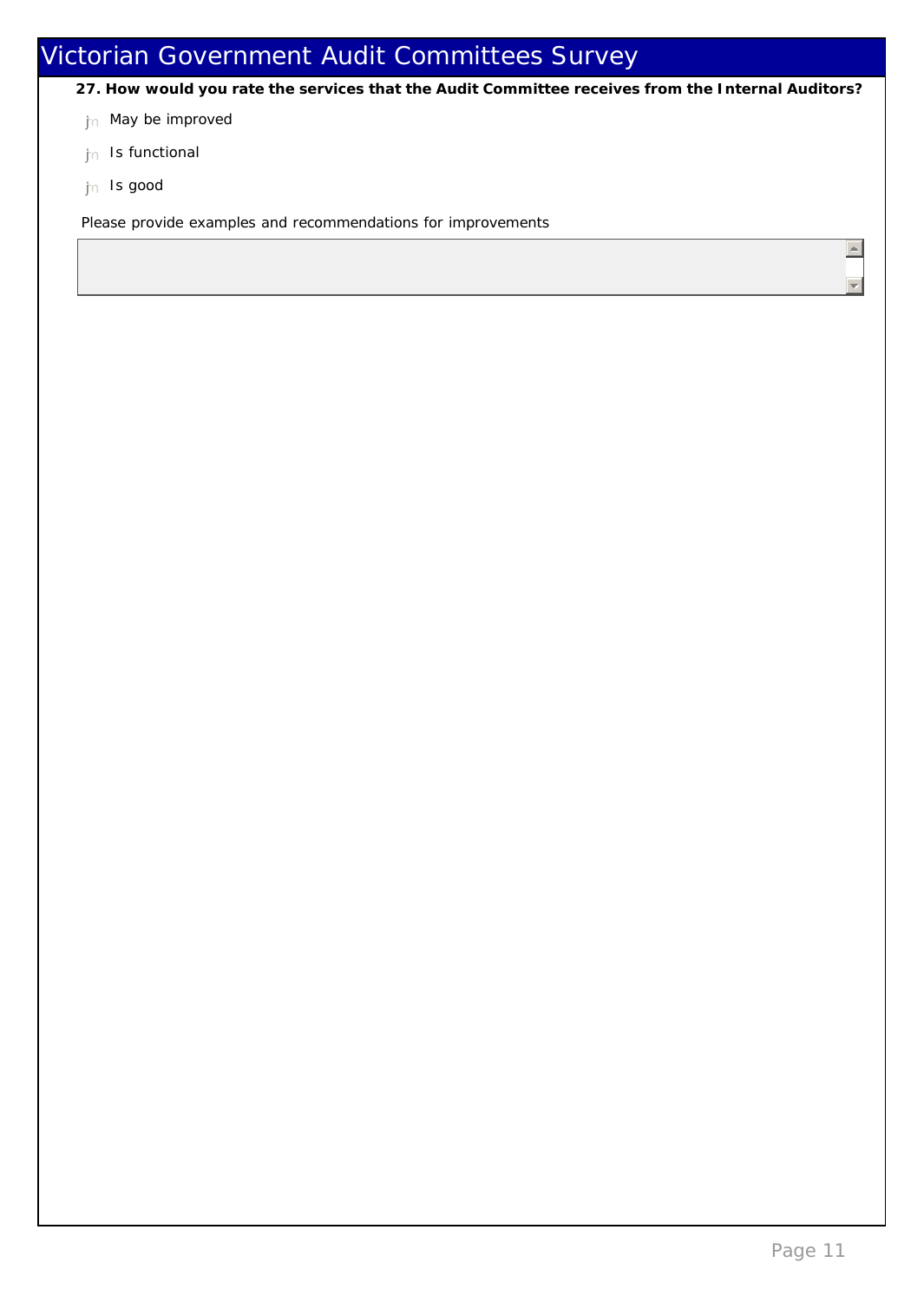- **27. How would you rate the services that the Audit Committee receives from the Internal Auditors?**
- jn May be improved
- $n$  Is functional
- th Is good

Please provide examples and recommendations for improvements

 $\left| \right|$ 

 $\Box$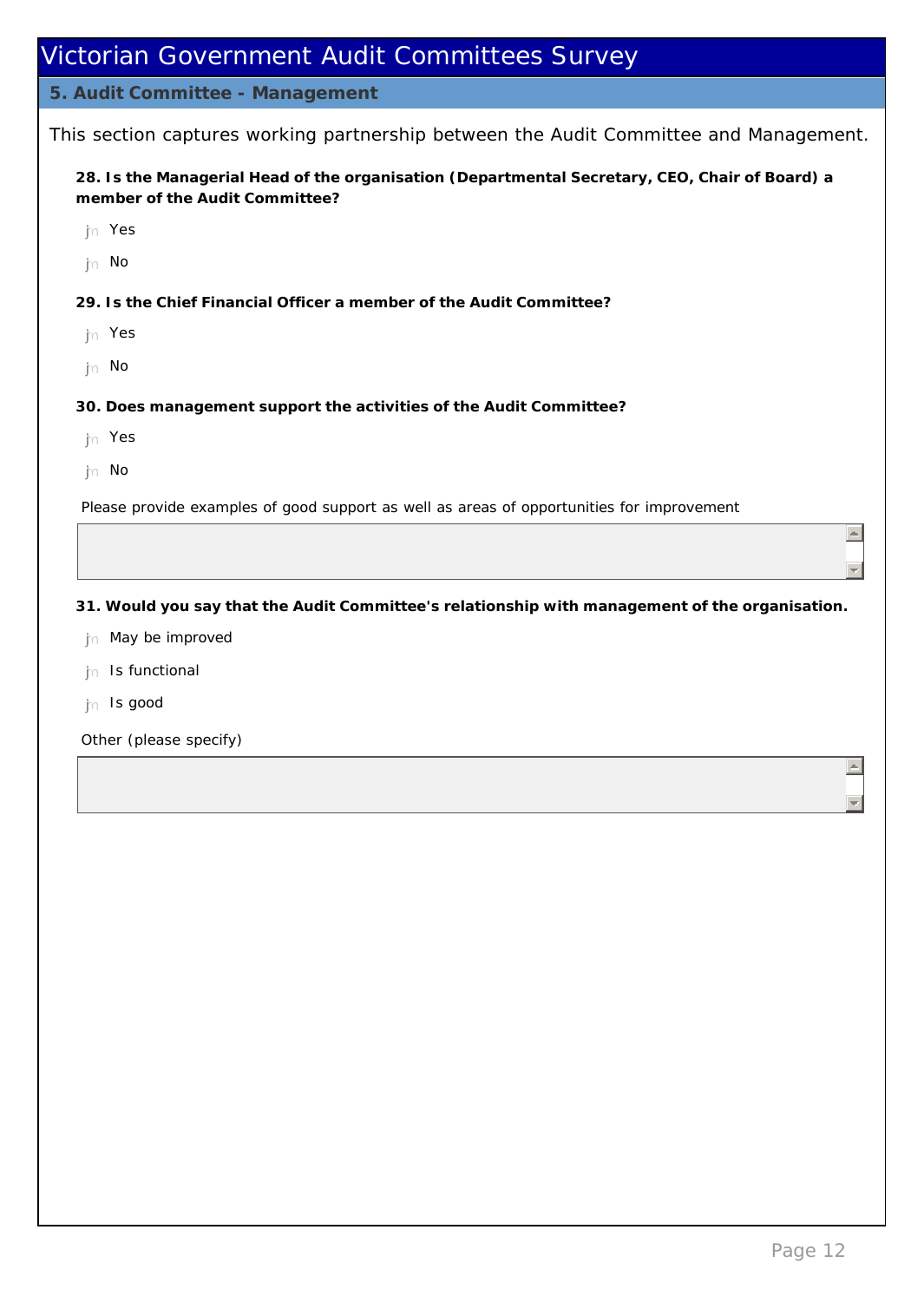#### **5. Audit Committee - Management**

This section captures working partnership between the Audit Committee and Management.

**28. Is the Managerial Head of the organisation (Departmental Secretary, CEO, Chair of Board) a member of the Audit Committee?**

- nmlkj Yes
- the No
- **29. Is the Chief Financial Officer a member of the Audit Committee?**
- nmlkj Yes
- th No
- **30. Does management support the activities of the Audit Committee?**
- nmlkj Yes
- nmlkj No

Please provide examples of good support as well as areas of opportunities for improvement

**31. Would you say that the Audit Committee's relationship with management of the organisation.**

- $n$  May be improved
- jn Is functional
- th Is good

Other (please specify)

 $\vert \equiv \vert$ 

 $\left| \frac{1}{2} \right|$ 

 $\left. \right. \right. \left. \right. \left. \right. \left. \right. \left. \right. \left. \right. \left. \left. \right. \left. \right. \left. \right. \left. \left. \right. \left. \right. \left. \left. \right. \right. \left. \left. \right. \left. \right. \left. \right. \left. \left. \right. \right. \left. \left. \right. \left. \right. \left. \left. \right. \right. \left. \left. \right. \right. \left. \left. \right. \right. \left. \left. \right. \left. \left. \right. \right. \left. \left. \right. \right. \left. \left. \right. \right. \left. \$ 

 $\equiv$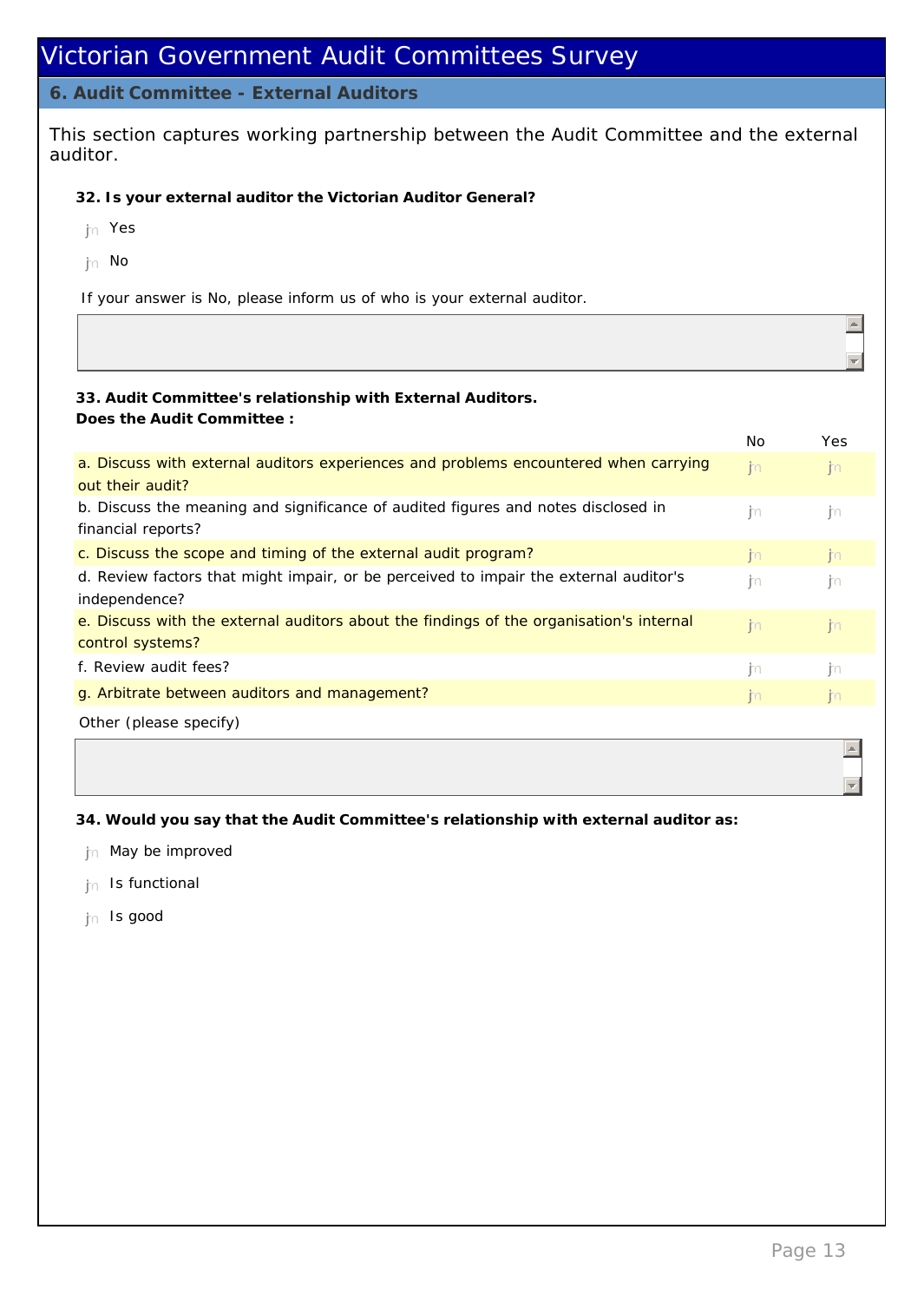#### **6. Audit Committee - External Auditors**

This section captures working partnership between the Audit Committee and the external auditor.

- **32. Is your external auditor the Victorian Auditor General?**
- nmlkj Yes
- the No

If your answer is No, please inform us of who is your external auditor.

**33. Audit Committee's relationship with External Auditors. Does the Audit Committee :**

|                                                                                         | No           | Yes          |
|-----------------------------------------------------------------------------------------|--------------|--------------|
| a. Discuss with external auditors experiences and problems encountered when carrying    | j.           | $\mathsf{m}$ |
| out their audit?                                                                        |              |              |
| b. Discuss the meaning and significance of audited figures and notes disclosed in       | m            | m            |
| financial reports?                                                                      |              |              |
| c. Discuss the scope and timing of the external audit program?                          | j.           | $\mathsf{m}$ |
| d. Review factors that might impair, or be perceived to impair the external auditor's   | m            | jm           |
| independence?                                                                           |              |              |
| e. Discuss with the external auditors about the findings of the organisation's internal | n            | jin          |
| control systems?                                                                        |              |              |
| f. Review audit fees?                                                                   | j.           | m            |
| g. Arbitrate between auditors and management?                                           | $\mathsf{m}$ | $\mathsf{m}$ |
| Other (please specify)                                                                  |              |              |
|                                                                                         |              |              |

**34. Would you say that the Audit Committee's relationship with external auditor as:**

- $n<sub>n</sub>$  May be improved
- $n<sub>n</sub>$  Is functional
- th Is good

 $\left| \right|$ 

 $\overline{\mathcal{A}}$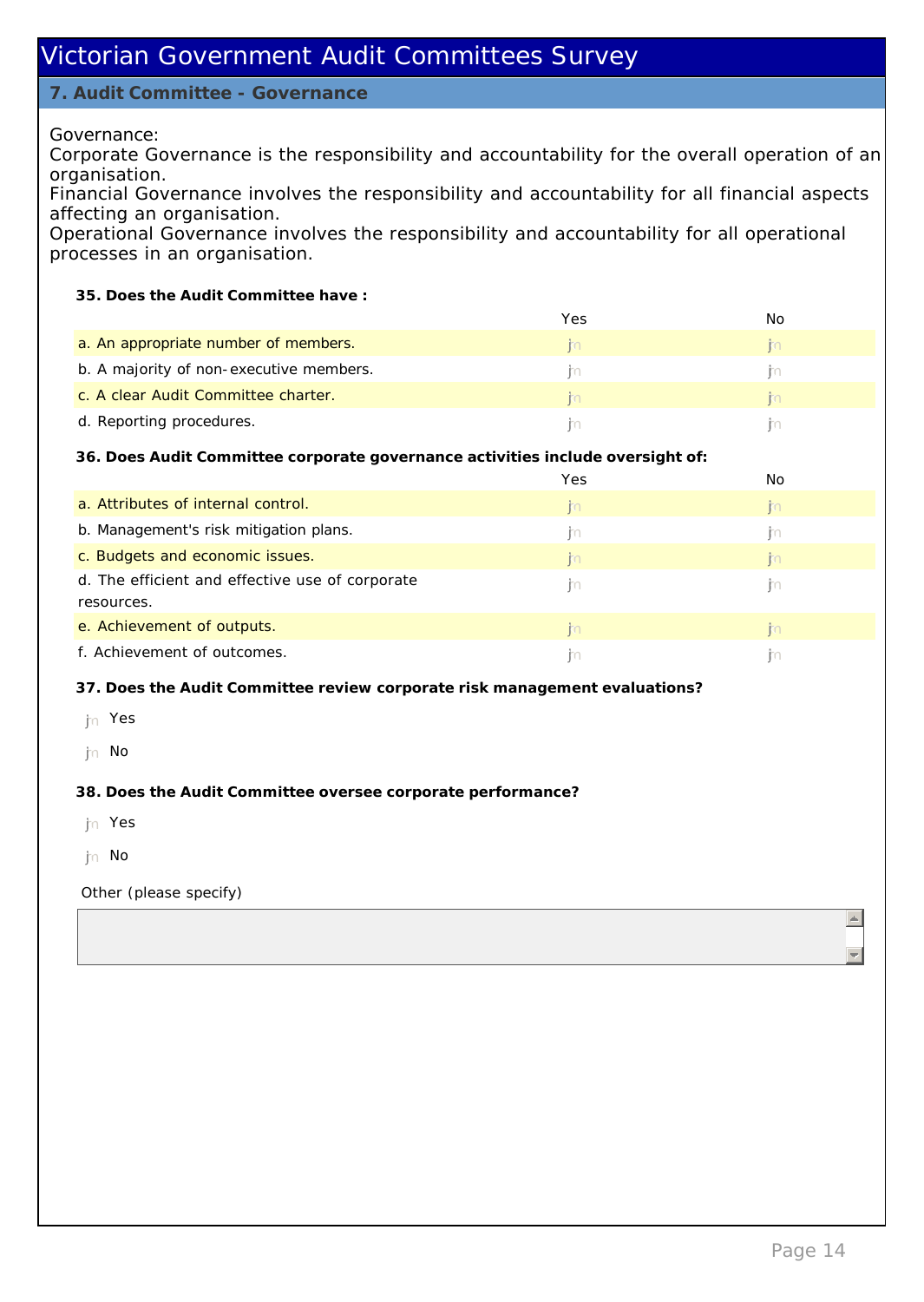### **7. Audit Committee - Governance**

Governance:

Corporate Governance is the responsibility and accountability for the overall operation of an organisation.

Financial Governance involves the responsibility and accountability for all financial aspects affecting an organisation.

Operational Governance involves the responsibility and accountability for all operational processes in an organisation.

**35. Does the Audit Committee have :**

|                                         | Yes | חמו |
|-----------------------------------------|-----|-----|
| a. An appropriate number of members.    |     |     |
| b. A majority of non-executive members. |     |     |
| c. A clear Audit Committee charter.     |     |     |
| d. Reporting procedures.                |     |     |

**36. Does Audit Committee corporate governance activities include oversight of:**

|                                                 | Yes            | No             |
|-------------------------------------------------|----------------|----------------|
| a. Attributes of internal control.              | $\mathbb{E}$   | R <sub>0</sub> |
| b. Management's risk mitigation plans.          | m              | m              |
| c. Budgets and economic issues.                 | m              | m              |
| d. The efficient and effective use of corporate | m              | m              |
| resources.                                      |                |                |
| e. Achievement of outputs.                      | $\mathbb{R}^n$ | m              |
| f. Achievement of outcomes.                     |                |                |

**37. Does the Audit Committee review corporate risk management evaluations?**

- th Yes
- jn No

**38. Does the Audit Committee oversee corporate performance?**

- nmlkj Yes
- $\mathsf{p}_0$  No

Other (please specify)

 $\overline{A}$ 

 $\overline{\phantom{a}}$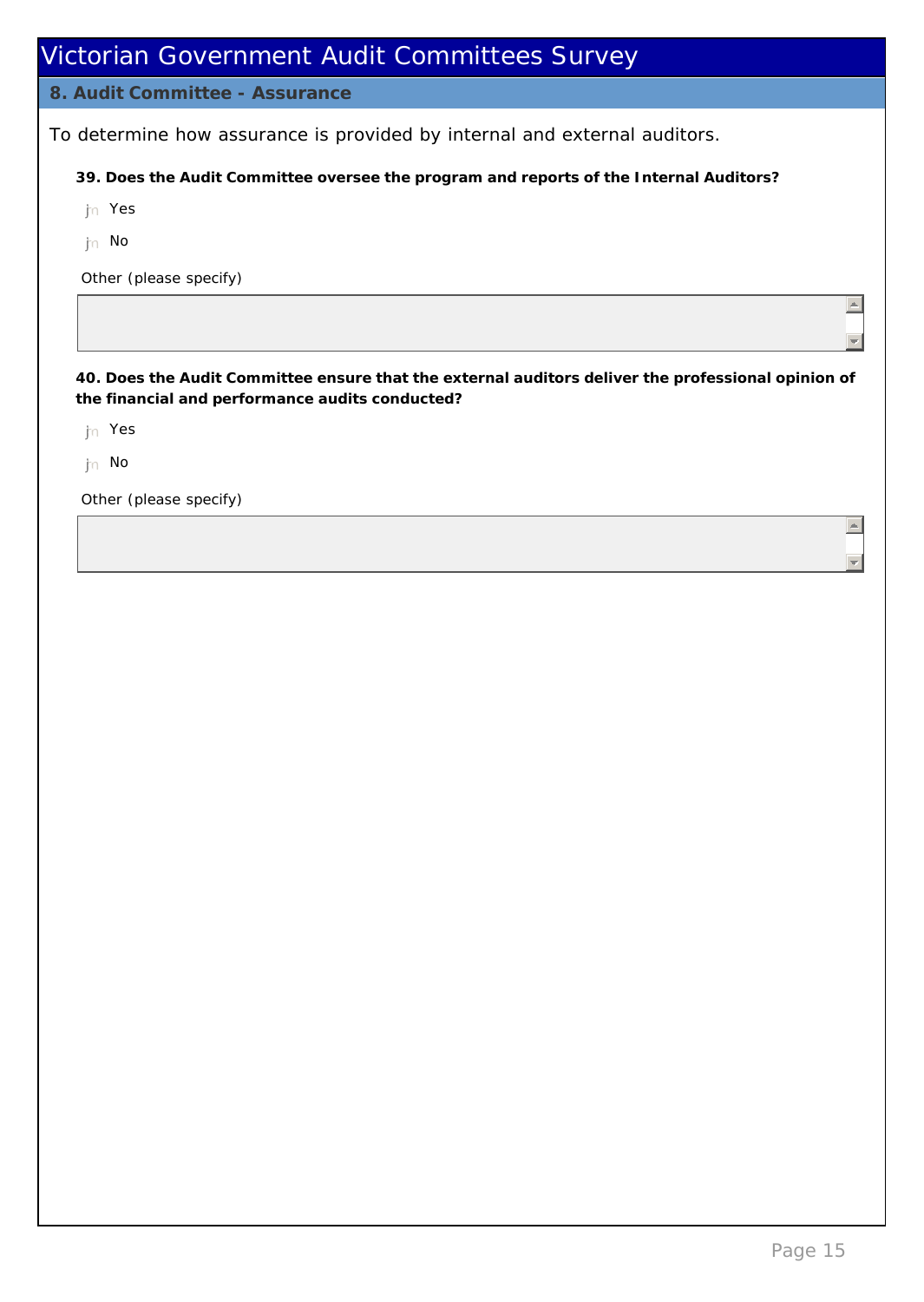| Victorian Government Audit Committees Survey                                                                                                          |
|-------------------------------------------------------------------------------------------------------------------------------------------------------|
| 8. Audit Committee - Assurance                                                                                                                        |
| To determine how assurance is provided by internal and external auditors.                                                                             |
| 39. Does the Audit Committee oversee the program and reports of the Internal Auditors?                                                                |
| Yes<br>im.                                                                                                                                            |
| No<br>im.                                                                                                                                             |
| Other (please specify)                                                                                                                                |
|                                                                                                                                                       |
| 40. Does the Audit Committee ensure that the external auditors deliver the professional opinion of<br>the financial and performance audits conducted? |
| Yes<br>m.                                                                                                                                             |
| $\mathsf{In}$ No                                                                                                                                      |
| Other (please specify)                                                                                                                                |
|                                                                                                                                                       |
|                                                                                                                                                       |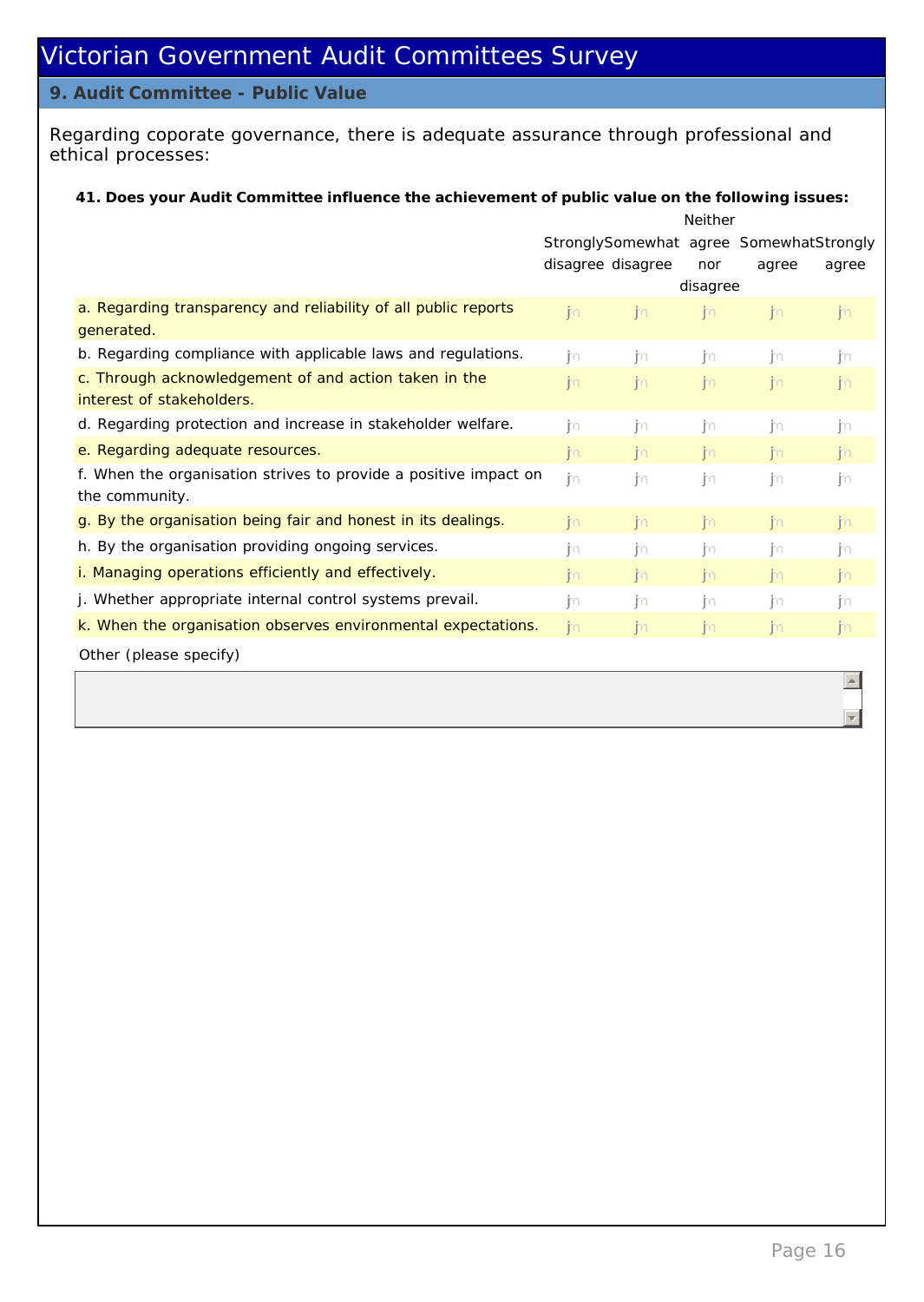#### **9. Audit Committee - Public Value**

Regarding coporate governance, there is adequate assurance through professional and ethical processes:

**41. Does your Audit Committee influence the achievement of public value on the following issues:**

|                                                                                    | <b>Neither</b>    |              |              |                                         |       |
|------------------------------------------------------------------------------------|-------------------|--------------|--------------|-----------------------------------------|-------|
|                                                                                    |                   |              |              | StronglySomewhat agree SomewhatStrongly |       |
|                                                                                    | disagree disagree |              | nor          | agree                                   | agree |
|                                                                                    |                   |              | disagree     |                                         |       |
| a. Regarding transparency and reliability of all public reports<br>generated.      | n                 | n            | $\mathsf{m}$ | jin.                                    | n     |
| b. Regarding compliance with applicable laws and regulations.                      | m                 | -Im          | in.          | in.                                     | jn.   |
| c. Through acknowledgement of and action taken in the                              | n                 | n            | n            | $\mathsf{m}$                            | jn    |
| interest of stakeholders.                                                          |                   |              |              |                                         |       |
| d. Regarding protection and increase in stakeholder welfare.                       | m                 | jm           | jυ           | Ť∩                                      | jυ    |
| e. Regarding adequate resources.                                                   | n                 | <b>i</b> n   | n            | im.                                     | n     |
| f. When the organisation strives to provide a positive impact on<br>the community. | -Im               | im           | m            | in.                                     | jn    |
| g. By the organisation being fair and honest in its dealings.                      | <b>i</b> m        | <b>I</b> m   | $\mathsf{m}$ | jin.                                    | jn.   |
| h. By the organisation providing ongoing services.                                 | m                 | -Im          | -Im          | in.                                     | jυ    |
| i. Managing operations efficiently and effectively.                                | n                 | n            | $\mathsf{m}$ | $\mathsf{m}$                            | j'n   |
| j. Whether appropriate internal control systems prevail.                           | jm                | m            | jm           | Ť∩                                      | jn    |
| k. When the organisation observes environmental expectations.                      | $\mathsf{m}$      | $\mathsf{m}$ | n            | j.                                      | n     |
| Other (please specify)                                                             |                   |              |              |                                         |       |

 $\vert \mathbb{A} \vert$ 

 $\overline{\mathcal{A}}$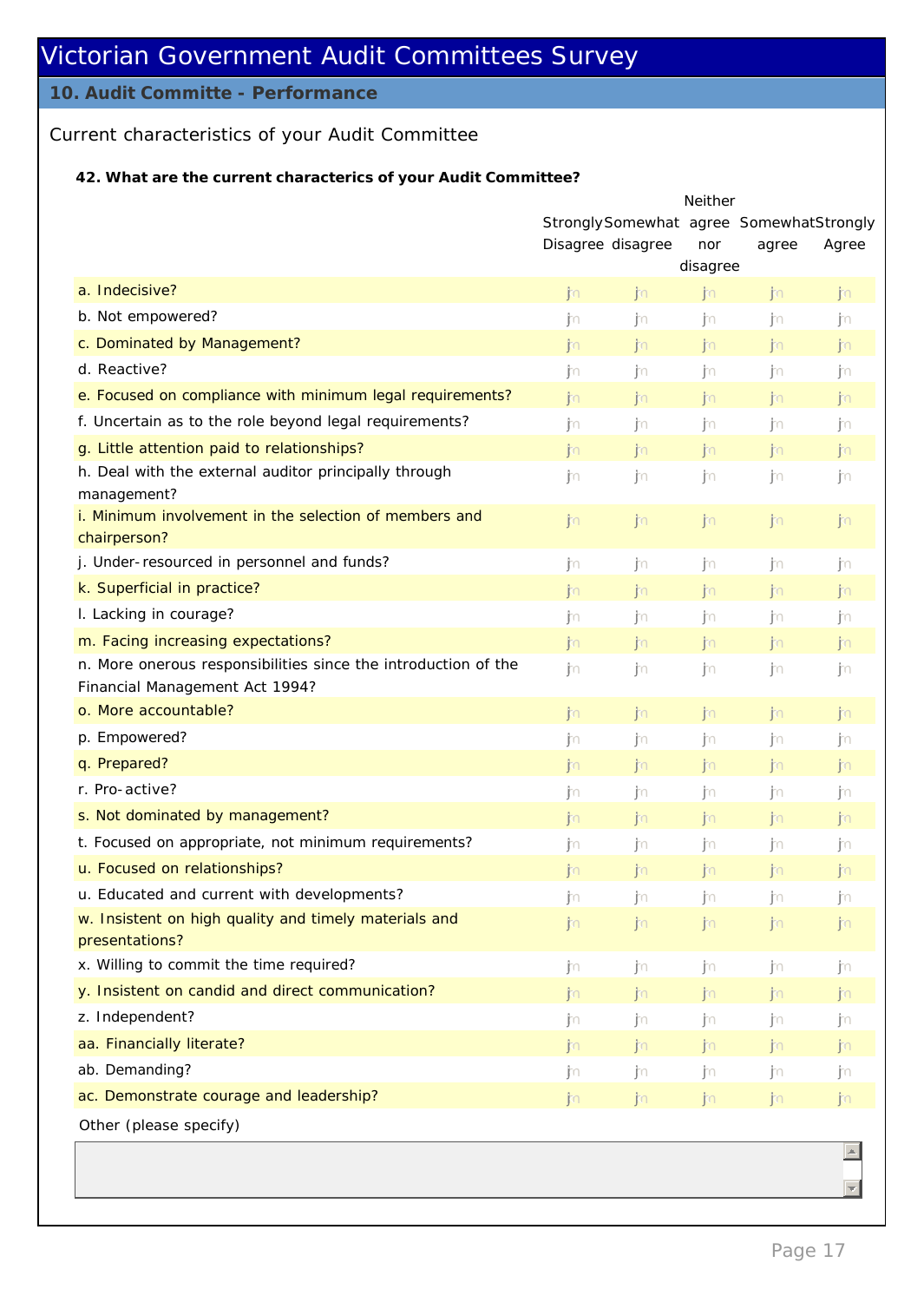## **10. Audit Committe - Performance**

## Current characteristics of your Audit Committee

## **42. What are the current characterics of your Audit Committee?**

|                                                                                                  | Neither                                 |              |                |       |       |
|--------------------------------------------------------------------------------------------------|-----------------------------------------|--------------|----------------|-------|-------|
|                                                                                                  | StronglySomewhat agree SomewhatStrongly |              |                |       |       |
|                                                                                                  | Disagree disagree                       |              | nor            | agree | Agree |
|                                                                                                  |                                         |              | disagree       |       |       |
| a. Indecisive?                                                                                   | n                                       | n            | n              | n     | jn    |
| b. Not empowered?                                                                                | jn                                      | ∫∩           | . jn           | . jn  | . jn  |
| c. Dominated by Management?                                                                      | jn                                      | jn           | j <sub>0</sub> | jn    | jn    |
| d. Reactive?                                                                                     | jυ                                      | . jn         | . jn           | jn    | . jn  |
| e. Focused on compliance with minimum legal requirements?                                        | n                                       | n            | n              | n     | jn    |
| f. Uncertain as to the role beyond legal requirements?                                           | ₫n                                      | . jn         | . jn           | . jn  | . jn  |
| g. Little attention paid to relationships?                                                       | jm.                                     | n            | n              | n     | jn    |
| h. Deal with the external auditor principally through<br>management?                             | jn                                      | -In          | -In            | -im   | jn.   |
| i. Minimum involvement in the selection of members and<br>chairperson?                           | jm.                                     | ijkn.        | .jkn           | .jm   | jn    |
| j. Under-resourced in personnel and funds?                                                       | jn                                      | jn           | . jn           | . jn  | j∩    |
| k. Superficial in practice?                                                                      | jn                                      | jm.          | $\mathsf{m}$   | n     | jin.  |
| I. Lacking in courage?                                                                           | ∫∩                                      | . jn         | jn             | jn    | jn    |
| m. Facing increasing expectations?                                                               | jn                                      | .jkn         | jn.            | n     | jn    |
| n. More onerous responsibilities since the introduction of the<br>Financial Management Act 1994? | jn.                                     | . jn         | jn.            | jn    | jn    |
| o. More accountable?                                                                             | jn                                      | $\mathsf{m}$ | $\mathsf{m}$   | n     | jn    |
| p. Empowered?                                                                                    | ∫∩                                      | . jto        | . jto          | . jto | jυ    |
| q. Prepared?                                                                                     | jn                                      | n            | n              | n     | jn    |
| r. Pro-active?                                                                                   | j∩                                      | ∫∩           | ∫∩             | . jn  | . jn  |
| s. Not dominated by management?                                                                  | jn                                      | n            | n              | n     | jn    |
| t. Focused on appropriate, not minimum requirements?                                             | jυ                                      | . jn         | -In            | -im   | jυ    |
| u. Focused on relationships?                                                                     | jn                                      | ijkn.        | jm.            | n     | j'n   |
| u. Educated and current with developments?                                                       | jn                                      | ₫n           | . jn           | . jn  | jυ    |
| w. Insistent on high quality and timely materials and                                            | jn                                      | jn           | jn.            | n     | jn.   |
| presentations?                                                                                   |                                         |              |                |       |       |
| x. Willing to commit the time required?                                                          | jn                                      | ∫n           | jn             | ∫n    | jn.   |
| y. Insistent on candid and direct communication?                                                 | jn                                      | n            | $\mathsf{m}$   | n     | n     |
| z. Independent?                                                                                  | ∫n                                      | ∫∩           | ∫n             | jυ    | jυ    |
| aa. Financially literate?                                                                        | תר∫                                     | jm.          | jn.            | jn.   | jn.   |
| ab. Demanding?                                                                                   | jn                                      | ∫∩           | ∫n             | jυ    | ∫n    |
| ac. Demonstrate courage and leadership?                                                          | jn                                      | jn           | j <sub>0</sub> | jn    | jn    |
| Other (please specify)                                                                           |                                         |              |                |       |       |
|                                                                                                  |                                         |              |                |       |       |

 $\overline{z}$